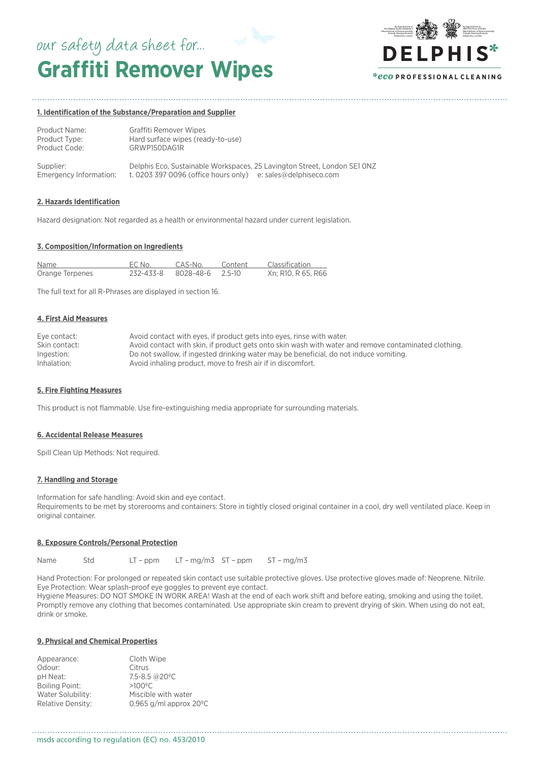# **Graffiti Remover Wipes** our safety data sheet for...



### **1. Identification of the Substance/Preparation and Supplier**

| Product Name: | Graffiti Remover Wipes            |
|---------------|-----------------------------------|
| Product Type: | Hard surface wipes (ready-to-use) |
| Product Code: | GRWP150DAG1R                      |
|               |                                   |

| Supplier:              | Delphis Eco, Sustainable Workspaces, 25 Lavington Street, London SE1 ONZ |  |
|------------------------|--------------------------------------------------------------------------|--|
| Emergency Information: | t. 0203 397 0096 (office hours only) e: sales@delphiseco.com             |  |

### **2. Hazards Identification**

Hazard designation: Not regarded as a health or environmental hazard under current legislation.

### **3. Composition/Information on Ingredients**

| Name            | EC No.                     | CAS-No. | Content | Classification     |
|-----------------|----------------------------|---------|---------|--------------------|
| Orange Terpenes | 232-433-8 8028-48-6 2.5-10 |         |         | Xn: R10, R 65, R66 |

The full text for all R-Phrases are displayed in section 16.

### **4. First Aid Measures**

| Eye contact:  | Avoid contact with eyes, if product gets into eyes, rinse with water.                                |
|---------------|------------------------------------------------------------------------------------------------------|
| Skin contact: | Avoid contact with skin, if product gets onto skin wash with water and remove contaminated clothing. |
| Ingestion:    | Do not swallow, if ingested drinking water may be beneficial, do not induce vomiting.                |
| Inhalation:   | Avoid inhaling product, move to fresh air if in discomfort.                                          |

### **5. Fire Fighting Measures**

This product is not flammable. Use fire-extinguishing media appropriate for surrounding materials.

### **6. Accidental Release Measures**

Spill Clean Up Methods: Not required.

### **7. Handling and Storage**

Information for safe handling: Avoid skin and eye contact. Requirements to be met by storerooms and containers: Store in tightly closed original container in a cool, dry well ventilated place. Keep in original container.

# **8. Exposure Controls/Personal Protection**

Name Std LT – ppm LT – mg/m3 ST – ppm ST – mg/m3

Hand Protection: For prolonged or repeated skin contact use suitable protective gloves. Use protective gloves made of: Neoprene. Nitrile. Eye Protection: Wear splash-proof eye goggles to prevent eye contact.

Hygiene Measures: DO NOT SMOKE IN WORK AREA! Wash at the end of each work shift and before eating, smoking and using the toilet. Promptly remove any clothing that becomes contaminated. Use appropriate skin cream to prevent drying of skin. When using do not eat, drink or smoke.

## **9. Physical and Chemical Properties**

| Appearance:              | Cloth Wipe                       |
|--------------------------|----------------------------------|
| Odour:                   | Citrus                           |
| pH Neat:                 | 7.5-8.5 @20°C                    |
| Boiling Point:           | $>100^{\circ}$ C                 |
| Water Solubility:        | Miscible with water              |
| <b>Relative Density:</b> | 0.965 g/ml approx $20^{\circ}$ C |
|                          |                                  |

msds according to regulation (EC) no. 453/2010